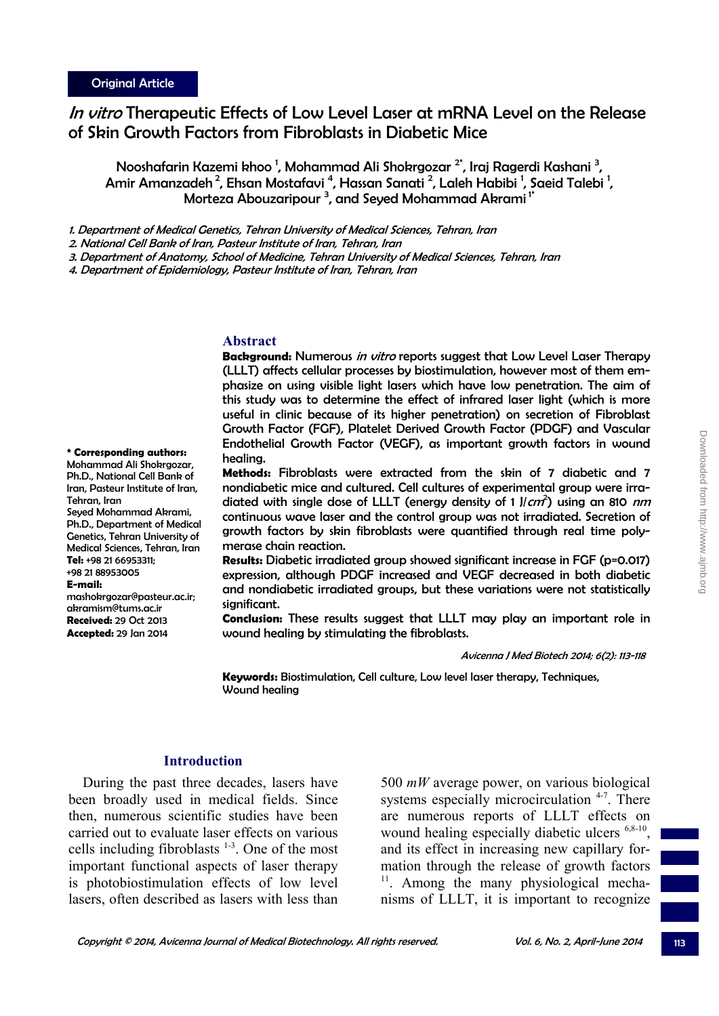# In vitro Therapeutic Effects of Low Level Laser at mRNA Level on the Release of Skin Growth Factors from Fibroblasts in Diabetic Mice

Nooshafarin Kazemi khoo <sup>1</sup>, Mohammad Ali Shokrgozar <sup>2\*</sup>, Iraj Ragerdi Kashani <sup>3</sup>, Amir Amanzadeh<sup>2</sup>, Ehsan Mostafavi <sup>4</sup>, Hassan Sanati <sup>2</sup>, Laleh Habibi <sup>1</sup>, Saeid Talebi <sup>1</sup>, Morteza Abouzaripour <sup>3</sup>, and Seyed Mohammad Akrami<sup>1\*</sup>

1. Department of Medical Genetics, Tehran University of Medical Sciences, Tehran, Iran

2. National Cell Bank of Iran, Pasteur Institute of Iran, Tehran, Iran

3. Department of Anatomy, School of Medicine, Tehran University of Medical Sciences, Tehran, Iran

4. Department of Epidemiology, Pasteur Institute of Iran, Tehran, Iran

#### **Abstract**

**Background:** Numerous in vitro reports suggest that Low Level Laser Therapy (LLLT) affects cellular processes by biostimulation, however most of them emphasize on using visible light lasers which have low penetration. The aim of this study was to determine the effect of infrared laser light (which is more useful in clinic because of its higher penetration) on secretion of Fibroblast Growth Factor (FGF), Platelet Derived Growth Factor (PDGF) and Vascular Endothelial Growth Factor (VEGF), as important growth factors in wound healing.

**Methods:** Fibroblasts were extracted from the skin of 7 diabetic and 7 nondiabetic mice and cultured. Cell cultures of experimental group were irradiated with single dose of LLLT (energy density of 1 J/cm<sup>2</sup>) using an 810 nm continuous wave laser and the control group was not irradiated. Secretion of growth factors by skin fibroblasts were quantified through real time polymerase chain reaction.

**Results:** Diabetic irradiated group showed significant increase in FGF (p=0.017) expression, although PDGF increased and VEGF decreased in both diabetic and nondiabetic irradiated groups, but these variations were not statistically significant.

**Conclusion:** These results suggest that LLLT may play an important role in wound healing by stimulating the fibroblasts.

Avicenna J Med Biotech 2014; 6(2): 113-118

**Keywords:** Biostimulation, Cell culture, Low level laser therapy, Techniques, Wound healing

## **Introduction**

During the past three decades, lasers have been broadly used in medical fields. Since then, numerous scientific studies have been carried out to evaluate laser effects on various cells including fibroblasts  $1-3$ . One of the most important functional aspects of laser therapy is photobiostimulation effects of low level lasers, often described as lasers with less than

500 *mW* average power, on various biological systems especially microcirculation <sup>4-7</sup>. There are numerous reports of LLLT effects on wound healing especially diabetic ulcers <sup>6,8-10</sup>, and its effect in increasing new capillary formation through the release of growth factors <sup>11</sup>. Among the many physiological mechanisms of LLLT, it is important to recognize

**\* Corresponding authors:** 

Mohammad Ali Shokrgozar, Ph.D., National Cell Bank of Iran, Pasteur Institute of Iran, Tehran, Iran Seyed Mohammad Akrami, Ph.D., Department of Medical Genetics, Tehran University of Medical Sciences, Tehran, Iran **Tel:** +98 21 66953311; +98 21 88953005 **E-mail:** mashokrgozar@pasteur.ac.ir; akramism@tums.ac.ir **Received:** 29 Oct 2013 **Accepted:** 29 Jan 2014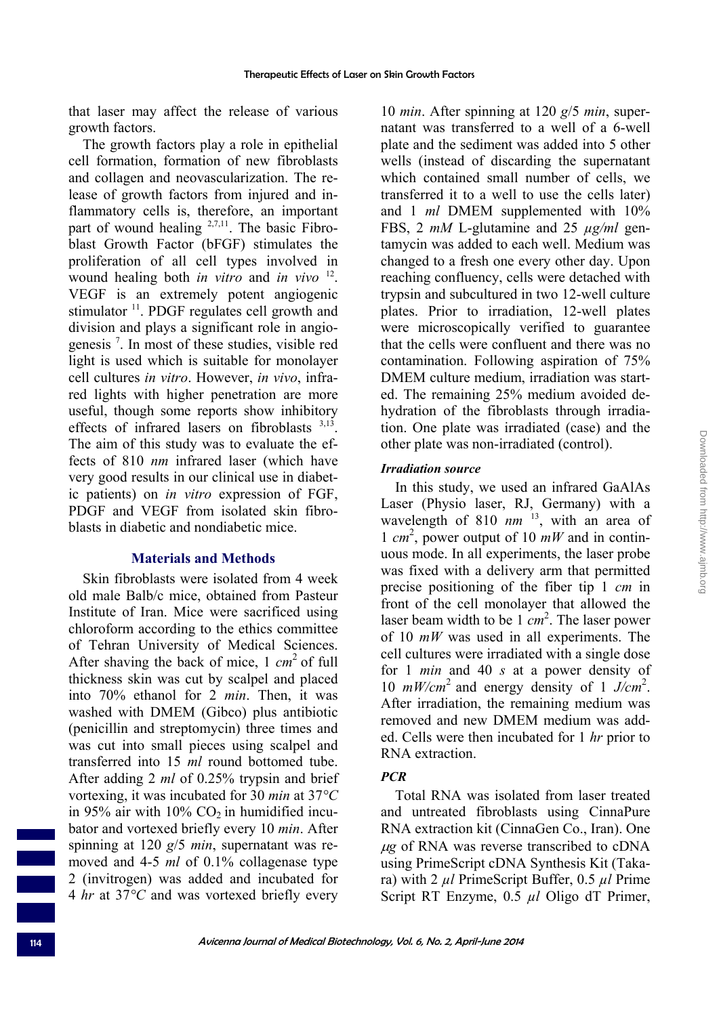that laser may affect the release of various growth factors.

The growth factors play a role in epithelial cell formation, formation of new fibroblasts and collagen and neovascularization. The release of growth factors from injured and inflammatory cells is, therefore, an important part of wound healing  $2,7,11$ . The basic Fibroblast Growth Factor (bFGF) stimulates the proliferation of all cell types involved in wound healing both *in vitro* and *in vivo* 12. VEGF is an extremely potent angiogenic stimulator <sup>11</sup>. PDGF regulates cell growth and division and plays a significant role in angiogenesis 7 . In most of these studies, visible red light is used which is suitable for monolayer cell cultures *in vitro*. However, *in vivo*, infrared lights with higher penetration are more useful, though some reports show inhibitory effects of infrared lasers on fibroblasts  $3,13$ . The aim of this study was to evaluate the effects of 810 *nm* infrared laser (which have very good results in our clinical use in diabetic patients) on *in vitro* expression of FGF, PDGF and VEGF from isolated skin fibroblasts in diabetic and nondiabetic mice.

#### **Materials and Methods**

Skin fibroblasts were isolated from 4 week old male Balb/c mice, obtained from Pasteur Institute of Iran. Mice were sacrificed using chloroform according to the ethics committee of Tehran University of Medical Sciences. After shaving the back of mice, 1 *cm* 2 of full thickness skin was cut by scalpel and placed into 70% ethanol for 2 *min*. Then, it was washed with DMEM (Gibco) plus antibiotic (penicillin and streptomycin) three times and was cut into small pieces using scalpel and transferred into 15 *ml* round bottomed tube. After adding 2 *ml* of 0.25% trypsin and brief vortexing, it was incubated for 30 *min* at 37*°C* in 95% air with  $10\%$  CO<sub>2</sub> in humidified incubator and vortexed briefly every 10 *min*. After spinning at 120 *g*/5 *min*, supernatant was removed and 4-5 *ml* of 0.1% collagenase type 2 (invitrogen) was added and incubated for 4 *hr* at 37*°C* and was vortexed briefly every

10 *min*. After spinning at 120 *g*/5 *min*, supernatant was transferred to a well of a 6-well plate and the sediment was added into 5 other wells (instead of discarding the supernatant which contained small number of cells, we transferred it to a well to use the cells later) and 1 *ml* DMEM supplemented with 10% FBS, 2 *mM* L-glutamine and 25 *µg/ml* gentamycin was added to each well. Medium was changed to a fresh one every other day. Upon reaching confluency, cells were detached with trypsin and subcultured in two 12-well culture plates. Prior to irradiation, 12-well plates were microscopically verified to guarantee that the cells were confluent and there was no contamination. Following aspiration of 75% DMEM culture medium, irradiation was started. The remaining 25% medium avoided dehydration of the fibroblasts through irradiation. One plate was irradiated (case) and the other plate was non-irradiated (control).

#### *Irradiation source*

In this study, we used an infrared GaAlAs Laser (Physio laser, RJ, Germany) with a wavelength of 810 nm<sup>13</sup>, with an area of 1  $cm<sup>2</sup>$ , power output of 10  $mW$  and in continuous mode. In all experiments, the laser probe was fixed with a delivery arm that permitted precise positioning of the fiber tip 1 *cm* in front of the cell monolayer that allowed the laser beam width to be 1 *cm* 2 . The laser power of 10 *mW* was used in all experiments. The cell cultures were irradiated with a single dose for 1 *min* and 40 *s* at a power density of 10 *mW/cm*2 and energy density of 1 *J/cm*<sup>2</sup> . After irradiation, the remaining medium was removed and new DMEM medium was added. Cells were then incubated for 1 *hr* prior to RNA extraction.

## *PCR*

Total RNA was isolated from laser treated and untreated fibroblasts using CinnaPure RNA extraction kit (CinnaGen Co., Iran). One <sup>μ</sup>*g* of RNA was reverse transcribed to cDNA using PrimeScript cDNA Synthesis Kit (Takara) with 2 *µl* PrimeScript Buffer, 0.5 *µl* Prime Script RT Enzyme, 0.5 *µl* Oligo dT Primer,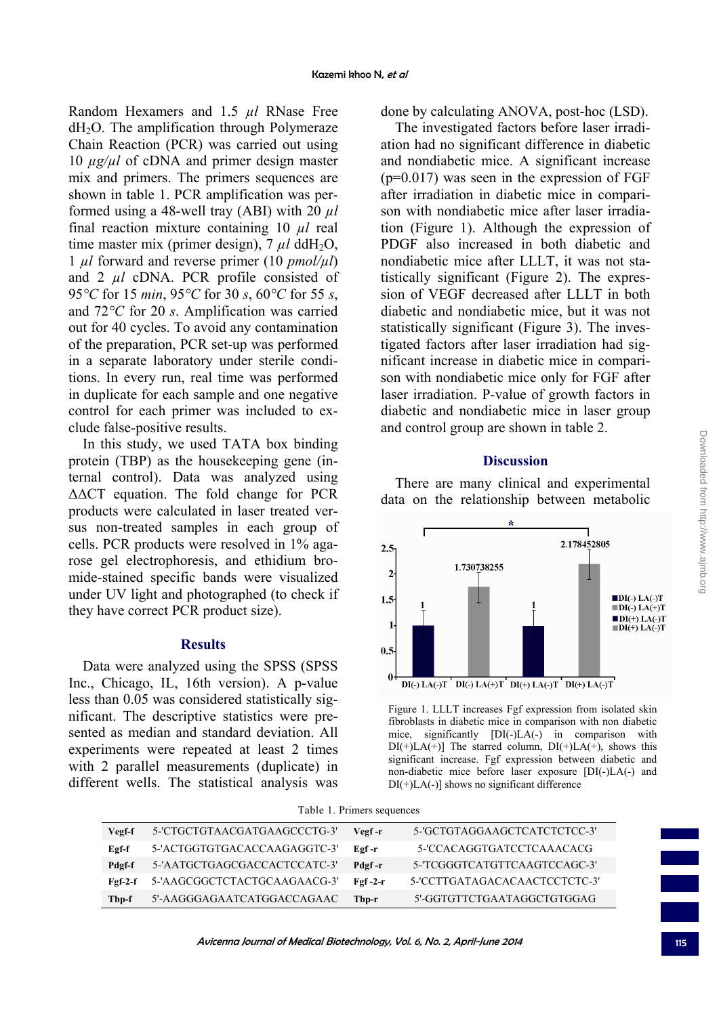Random Hexamers and 1.5 *µl* RNase Free dH2O. The amplification through Polymeraze Chain Reaction (PCR) was carried out using 10 *µg/µl* of cDNA and primer design master mix and primers. The primers sequences are shown in table 1. PCR amplification was performed using a 48-well tray (ABI) with 20 *µl* final reaction mixture containing 10 *µl* real time master mix (primer design),  $7 \mu l$  ddH<sub>2</sub>O, 1 *µl* forward and reverse primer (10 *pmol/µl*) and 2 *µl* cDNA. PCR profile consisted of 95*°C* for 15 *min*, 95*°C* for 30 *s*, 60*°C* for 55 *s*, and 72*°C* for 20 *s*. Amplification was carried out for 40 cycles. To avoid any contamination of the preparation, PCR set-up was performed in a separate laboratory under sterile conditions. In every run, real time was performed in duplicate for each sample and one negative control for each primer was included to exclude false-positive results.

In this study, we used TATA box binding protein (TBP) as the housekeeping gene (internal control). Data was analyzed using ΔΔCT equation. The fold change for PCR products were calculated in laser treated versus non-treated samples in each group of cells. PCR products were resolved in 1% agarose gel electrophoresis, and ethidium bromide-stained specific bands were visualized under UV light and photographed (to check if they have correct PCR product size).

## **Results**

Data were analyzed using the SPSS (SPSS Inc., Chicago, IL, 16th version). A p-value less than 0.05 was considered statistically significant. The descriptive statistics were presented as median and standard deviation. All experiments were repeated at least 2 times with 2 parallel measurements (duplicate) in different wells. The statistical analysis was

done by calculating ANOVA, post-hoc (LSD).

The investigated factors before laser irradiation had no significant difference in diabetic and nondiabetic mice. A significant increase  $(p=0.017)$  was seen in the expression of FGF after irradiation in diabetic mice in comparison with nondiabetic mice after laser irradiation (Figure 1). Although the expression of PDGF also increased in both diabetic and nondiabetic mice after LLLT, it was not statistically significant (Figure 2). The expression of VEGF decreased after LLLT in both diabetic and nondiabetic mice, but it was not statistically significant (Figure 3). The investigated factors after laser irradiation had significant increase in diabetic mice in comparison with nondiabetic mice only for FGF after laser irradiation. P-value of growth factors in diabetic and nondiabetic mice in laser group and control group are shown in table 2.

#### **Discussion**

There are many clinical and experimental data on the relationship between metabolic



Figure 1. LLLT increases Fgf expression from isolated skin fibroblasts in diabetic mice in comparison with non diabetic mice, significantly [DI(-)LA(-) in comparison with  $DI(+)LA(+)$  The starred column,  $DI(+)LA(+)$ , shows this significant increase. Fgf expression between diabetic and non-diabetic mice before laser exposure [DI(-)LA(-) and  $DI(+)LA(-)$ ] shows no significant difference

Table 1. Primers sequences

| Vegf-f    | 5-'CTGCTGTAACGATGAAGCCCTG-3' | Vegf-r    | 5-'GCTGTAGGAAGCTCATCTCTCC-3'  |
|-----------|------------------------------|-----------|-------------------------------|
| Egf-f     | 5-'ACTGGTGTGACACCAAGAGGTC-3' | Eøf-r     | 5-'CCACAGGTGATCCTCAAACACG     |
| Pdgf-f    | 5-'AATGCTGAGCGACCACTCCATC-3' | Pdgf-r    | 5-TCGGGTCATGTTCAAGTCCAGC-3'   |
| $Fef-2-f$ | 5-'AAGCGGCTCTACTGCAAGAACG-3' | $Fgf-2-r$ | 5-'CCTTGATAGACACAACTCCTCTC-3' |
| Tbp-f     | 5'-AAGGGAGAATCATGGACCAGAAC   | Tbp-r     | 5'-GGTGTTCTGAATAGGCTGTGGAG    |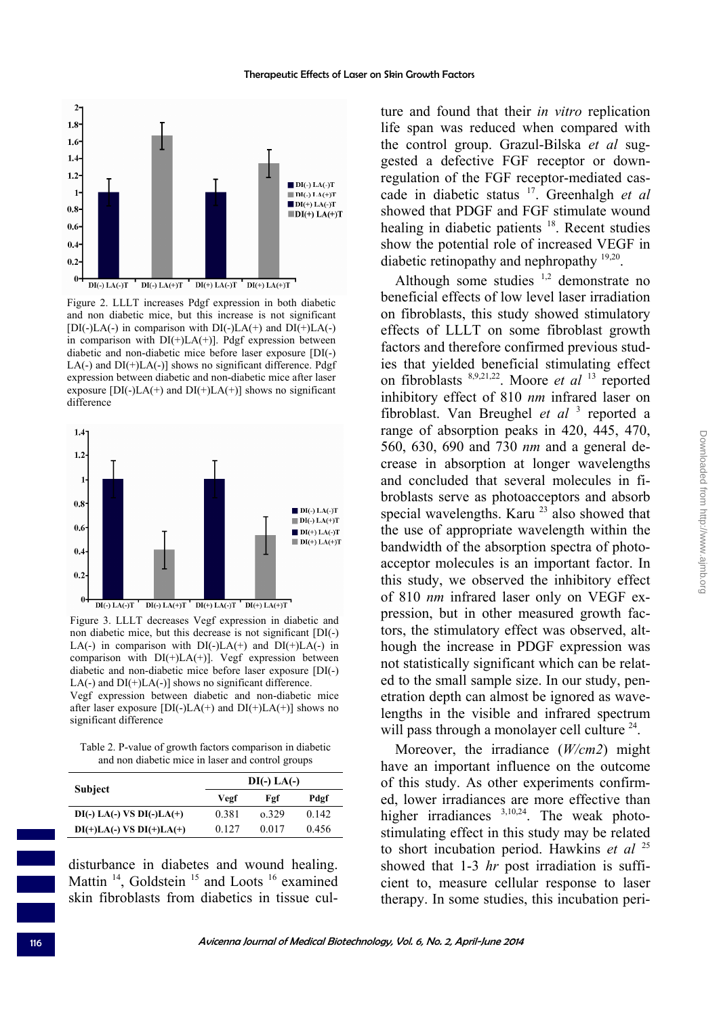

Figure 2. LLLT increases Pdgf expression in both diabetic and non diabetic mice, but this increase is not significant  $[DI(-)LA(-)$  in comparison with  $DI(-)LA(+)$  and  $DI(+)LA(-)$ in comparison with  $DI(+)LA(+)$ ]. Pdgf expression between diabetic and non-diabetic mice before laser exposure [DI(-) LA(-) and  $DI(+)LA(-)$ ] shows no significant difference. Pdgf expression between diabetic and non-diabetic mice after laser exposure  $[DI(-)LA(+)$  and  $DI(+)LA(+)$ ] shows no significant difference



Figure 3. LLLT decreases Vegf expression in diabetic and non diabetic mice, but this decrease is not significant [DI(-) LA(-) in comparison with  $DI(-)LA(+)$  and  $DI(+)LA(-)$  in comparison with  $DI(+)LA(+)$ . Vegf expression between diabetic and non-diabetic mice before laser exposure [DI(-) LA(-) and  $DI(+)LA(-)$ ] shows no significant difference. Vegf expression between diabetic and non-diabetic mice after laser exposure  $[DI(-)LA(+)$  and  $DI(+)LA(+)$ ] shows no significant difference

Table 2. P-value of growth factors comparison in diabetic and non diabetic mice in laser and control groups

|                              | $DI(-) LA(-)$ |       |       |  |
|------------------------------|---------------|-------|-------|--|
| Subject                      | Vegf          | Fgf   | Pdgf  |  |
| $DI(-) LA(-) VS DI(-) LA(+)$ | 0.381         | o 329 | 0.142 |  |
| $DI(+)LA(-) VS DI(+)LA(+)$   | 0.127         | 0.017 | 0.456 |  |

disturbance in diabetes and wound healing. Mattin<sup>14</sup>, Goldstein<sup>15</sup> and Loots<sup>16</sup> examined skin fibroblasts from diabetics in tissue culture and found that their *in vitro* replication life span was reduced when compared with the control group. Grazul-Bilska *et al* suggested a defective FGF receptor or downregulation of the FGF receptor-mediated cascade in diabetic status 17. Greenhalgh *et al* showed that PDGF and FGF stimulate wound healing in diabetic patients <sup>18</sup>. Recent studies show the potential role of increased VEGF in diabetic retinopathy and nephropathy <sup>19,20</sup>.

Although some studies  $1,2$  demonstrate no beneficial effects of low level laser irradiation on fibroblasts, this study showed stimulatory effects of LLLT on some fibroblast growth factors and therefore confirmed previous studies that yielded beneficial stimulating effect on fibroblasts 8,9,21,22. Moore *et al* 13 reported inhibitory effect of 810 *nm* infrared laser on fibroblast. Van Breughel et al<sup>3</sup> reported a range of absorption peaks in 420, 445, 470, 560, 630, 690 and 730 *nm* and a general decrease in absorption at longer wavelengths and concluded that several molecules in fibroblasts serve as photoacceptors and absorb special wavelengths. Karu<sup>23</sup> also showed that the use of appropriate wavelength within the bandwidth of the absorption spectra of photoacceptor molecules is an important factor. In this study, we observed the inhibitory effect of 810 *nm* infrared laser only on VEGF expression, but in other measured growth factors, the stimulatory effect was observed, although the increase in PDGF expression was not statistically significant which can be related to the small sample size. In our study, penetration depth can almost be ignored as wavelengths in the visible and infrared spectrum will pass through a monolayer cell culture  $24$ .

Moreover, the irradiance (*W/cm2*) might have an important influence on the outcome of this study. As other experiments confirmed, lower irradiances are more effective than higher irradiances <sup>3,10,24</sup>. The weak photostimulating effect in this study may be related to short incubation period. Hawkins *et al* <sup>25</sup> showed that 1-3 *hr* post irradiation is sufficient to, measure cellular response to laser therapy. In some studies, this incubation peri-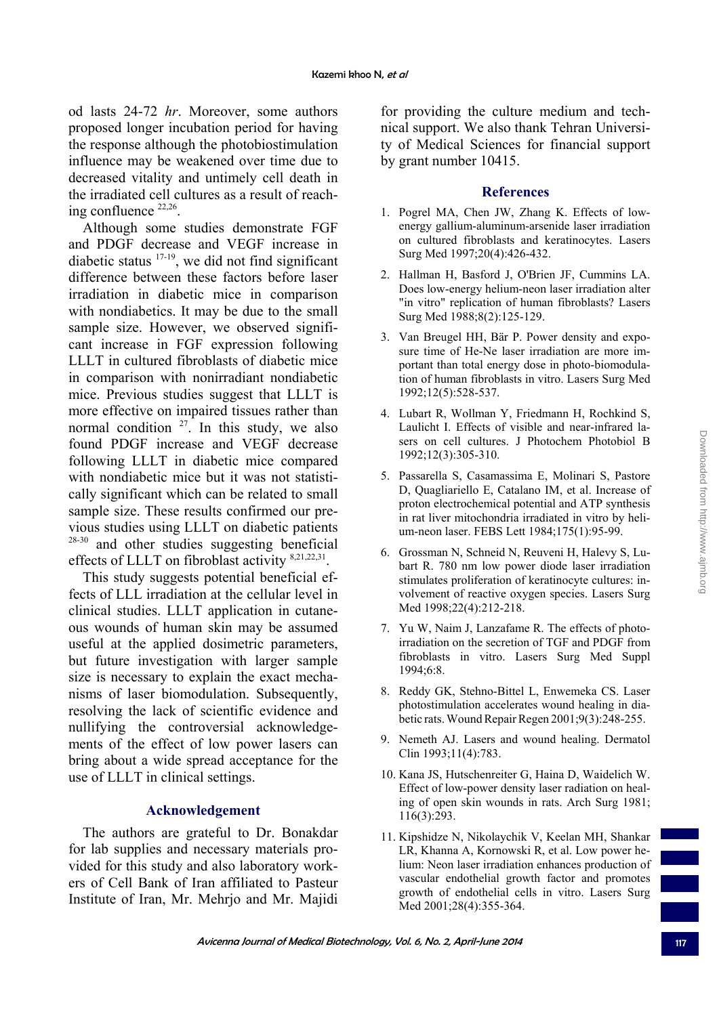od lasts 24-72 *hr*. Moreover, some authors proposed longer incubation period for having the response although the photobiostimulation influence may be weakened over time due to decreased vitality and untimely cell death in the irradiated cell cultures as a result of reaching confluence 22,26.

Although some studies demonstrate FGF and PDGF decrease and VEGF increase in diabetic status  $17-19$ , we did not find significant difference between these factors before laser irradiation in diabetic mice in comparison with nondiabetics. It may be due to the small sample size. However, we observed significant increase in FGF expression following LLLT in cultured fibroblasts of diabetic mice in comparison with nonirradiant nondiabetic mice. Previous studies suggest that LLLT is more effective on impaired tissues rather than normal condition  $27$ . In this study, we also found PDGF increase and VEGF decrease following LLLT in diabetic mice compared with nondiabetic mice but it was not statistically significant which can be related to small sample size. These results confirmed our previous studies using LLLT on diabetic patients <sup>28-30</sup> and other studies suggesting beneficial effects of LLLT on fibroblast activity 8,21,22,31.

This study suggests potential beneficial effects of LLL irradiation at the cellular level in clinical studies. LLLT application in cutaneous wounds of human skin may be assumed useful at the applied dosimetric parameters, but future investigation with larger sample size is necessary to explain the exact mechanisms of laser biomodulation. Subsequently, resolving the lack of scientific evidence and nullifying the controversial acknowledgements of the effect of low power lasers can bring about a wide spread acceptance for the use of LLLT in clinical settings.

## **Acknowledgement**

The authors are grateful to Dr. Bonakdar for lab supplies and necessary materials provided for this study and also laboratory workers of Cell Bank of Iran affiliated to Pasteur Institute of Iran, Mr. Mehrjo and Mr. Majidi

for providing the culture medium and technical support. We also thank Tehran University of Medical Sciences for financial support by grant number 10415.

#### **References**

- 1. Pogrel MA, Chen JW, Zhang K. Effects of lowenergy gallium-aluminum-arsenide laser irradiation on cultured fibroblasts and keratinocytes. Lasers Surg Med 1997;20(4):426-432.
- 2. Hallman H, Basford J, O'Brien JF, Cummins LA. Does low-energy helium-neon laser irradiation alter "in vitro" replication of human fibroblasts? Lasers Surg Med 1988;8(2):125-129.
- 3. Van Breugel HH, Bär P. Power density and exposure time of He-Ne laser irradiation are more important than total energy dose in photo-biomodulation of human fibroblasts in vitro. Lasers Surg Med 1992;12(5):528-537.
- 4. Lubart R, Wollman Y, Friedmann H, Rochkind S, Laulicht I. Effects of visible and near-infrared lasers on cell cultures. J Photochem Photobiol B 1992;12(3):305-310.
- 5. Passarella S, Casamassima E, Molinari S, Pastore D, Quagliariello E, Catalano IM, et al. Increase of proton electrochemical potential and ATP synthesis in rat liver mitochondria irradiated in vitro by helium-neon laser. FEBS Lett 1984;175(1):95-99.
- 6. Grossman N, Schneid N, Reuveni H, Halevy S, Lubart R. 780 nm low power diode laser irradiation stimulates proliferation of keratinocyte cultures: involvement of reactive oxygen species. Lasers Surg Med 1998;22(4):212-218.
- 7. Yu W, Naim J, Lanzafame R. The effects of photoirradiation on the secretion of TGF and PDGF from fibroblasts in vitro. Lasers Surg Med Suppl 1994;6:8.
- 8. Reddy GK, Stehno-Bittel L, Enwemeka CS. Laser photostimulation accelerates wound healing in diabetic rats. Wound Repair Regen 2001;9(3):248-255.
- 9. Nemeth AJ. Lasers and wound healing. Dermatol Clin 1993;11(4):783.
- 10. Kana JS, Hutschenreiter G, Haina D, Waidelich W. Effect of low-power density laser radiation on healing of open skin wounds in rats. Arch Surg 1981; 116(3):293.
- 11. Kipshidze N, Nikolaychik V, Keelan MH, Shankar LR, Khanna A, Kornowski R, et al. Low power helium: Neon laser irradiation enhances production of vascular endothelial growth factor and promotes growth of endothelial cells in vitro. Lasers Surg Med 2001;28(4):355-364.